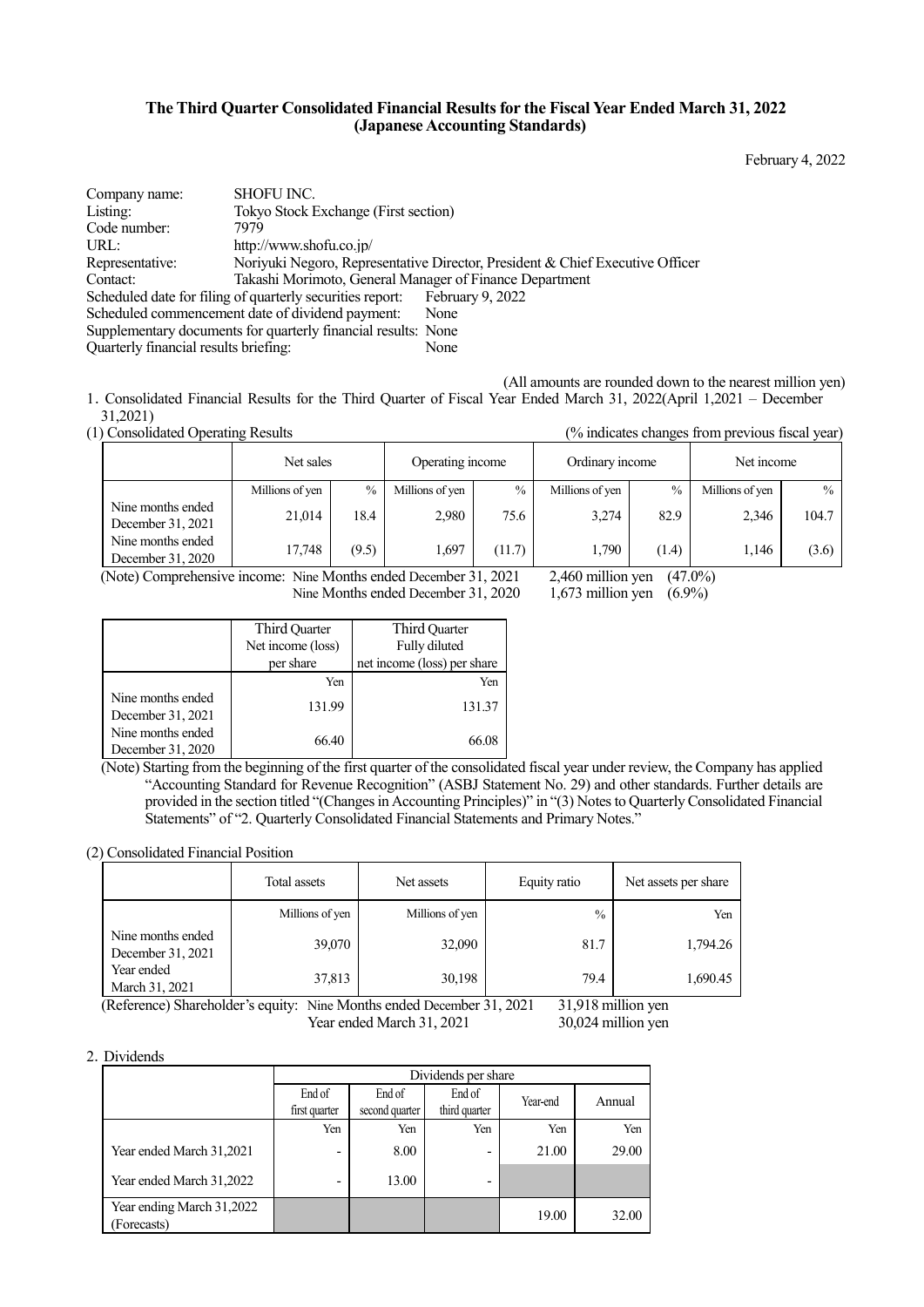## **The Third Quarter Consolidated Financial Results for the Fiscal Year Ended March 31, 2022 (Japanese Accounting Standards)**

February 4, 2022

| Company name:                         | <b>SHOFU INC.</b>                                                          |                                                                               |
|---------------------------------------|----------------------------------------------------------------------------|-------------------------------------------------------------------------------|
| Listing:                              | Tokyo Stock Exchange (First section)                                       |                                                                               |
| Code number:                          | 7979                                                                       |                                                                               |
| URL:                                  | http://www.shofu.co.jp/                                                    |                                                                               |
| Representative:                       |                                                                            | Noriyuki Negoro, Representative Director, President & Chief Executive Officer |
| Contact:                              | Takashi Morimoto, General Manager of Finance Department                    |                                                                               |
|                                       | Scheduled date for filing of quarterly securities report: February 9, 2022 |                                                                               |
|                                       | Scheduled commencement date of dividend payment:                           | None                                                                          |
|                                       | Supplementary documents for quarterly financial results: None              |                                                                               |
| Quarterly financial results briefing: |                                                                            | None                                                                          |

(All amounts are rounded down to the nearest million yen) 1.Consolidated Financial Results for the Third Quarter of Fiscal Year Ended March 31, 2022(April 1,2021 – December

31,2021)<br>(1) Consolidated Operating Results

| Consolidated Operating Results         |                 |       |                  |        | (% indicates changes from previous fiscal year) |               |                 |               |
|----------------------------------------|-----------------|-------|------------------|--------|-------------------------------------------------|---------------|-----------------|---------------|
|                                        | Net sales       |       | Operating income |        | Ordinary income                                 |               | Net income      |               |
|                                        | Millions of yen | $\%$  | Millions of yen  | $\%$   | Millions of yen                                 | $\frac{0}{0}$ | Millions of yen | $\frac{0}{0}$ |
| Nine months ended<br>December 31, 2021 | 21.014          | 18.4  | 2,980            | 75.6   | 3.274                                           | 82.9          | 2,346           | 104.7         |
| Nine months ended<br>December 31, 2020 | 17.748          | (9.5) | 1,697            | (11.7) | 1,790                                           | (1.4)         | 1,146           | (3.6)         |

(Note) Comprehensive income: Nine Months ended December 31, 2021 2,460 million yen (47.0%)<br>Nine Months ended December 31, 2020 1,673 million yen (6.9%)

Nine Months ended December 31, 2020

|                                        | Third Quarter     | Third Quarter               |  |
|----------------------------------------|-------------------|-----------------------------|--|
|                                        | Net income (loss) | Fully diluted               |  |
|                                        | per share         | net income (loss) per share |  |
|                                        | Yen               | Yen                         |  |
| Nine months ended<br>December 31, 2021 | 131.99            | 131.37                      |  |
| Nine months ended<br>December 31, 2020 | 66.40             | 66.08                       |  |

(Note) Starting from the beginning of the first quarter of the consolidated fiscal year under review, the Company has applied "Accounting Standard for Revenue Recognition" (ASBJ Statement No. 29) and other standards. Further details are provided in the section titled "(Changes in Accounting Principles)" in "(3) Notes to Quarterly Consolidated Financial Statements" of "2. Quarterly Consolidated Financial Statements and Primary Notes."

(2) Consolidated Financial Position

|                                        | Total assets                                                                                   | Net assets      | Equity ratio  | Net assets per share |  |  |  |
|----------------------------------------|------------------------------------------------------------------------------------------------|-----------------|---------------|----------------------|--|--|--|
|                                        | Millions of yen                                                                                | Millions of yen | $\frac{0}{0}$ | Yen                  |  |  |  |
| Nine months ended<br>December 31, 2021 | 39,070                                                                                         | 32,090          | 81.7          | 1,794.26             |  |  |  |
| Year ended<br>March 31, 2021           | 37,813                                                                                         | 30,198          | 79.4          | 1,690.45             |  |  |  |
|                                        | $21.018$ million van<br>(Deference) Shareholder's equity: Nine Months ended December 21<br>ാറാ |                 |               |                      |  |  |  |

(Reference) Shareholder's equity: Nine Months ended December 31, 2021 31,918 million yen Year ended March 31, 2021 30,024 million yen

## 2.Dividends

|                                          |               | Dividends per share |                          |          |        |  |
|------------------------------------------|---------------|---------------------|--------------------------|----------|--------|--|
|                                          | End of        | End of              | End of                   | Year-end | Annual |  |
|                                          | first quarter | second quarter      | third quarter            |          |        |  |
|                                          | Yen           | Yen                 | Yen                      | Yen      | Yen    |  |
| Year ended March 31,2021                 | -             | 8.00                | $\overline{\phantom{0}}$ | 21.00    | 29.00  |  |
| Year ended March 31,2022                 | -             | 13.00               | ۰                        |          |        |  |
| Year ending March 31,2022<br>(Forecasts) |               |                     |                          | 19.00    | 32.00  |  |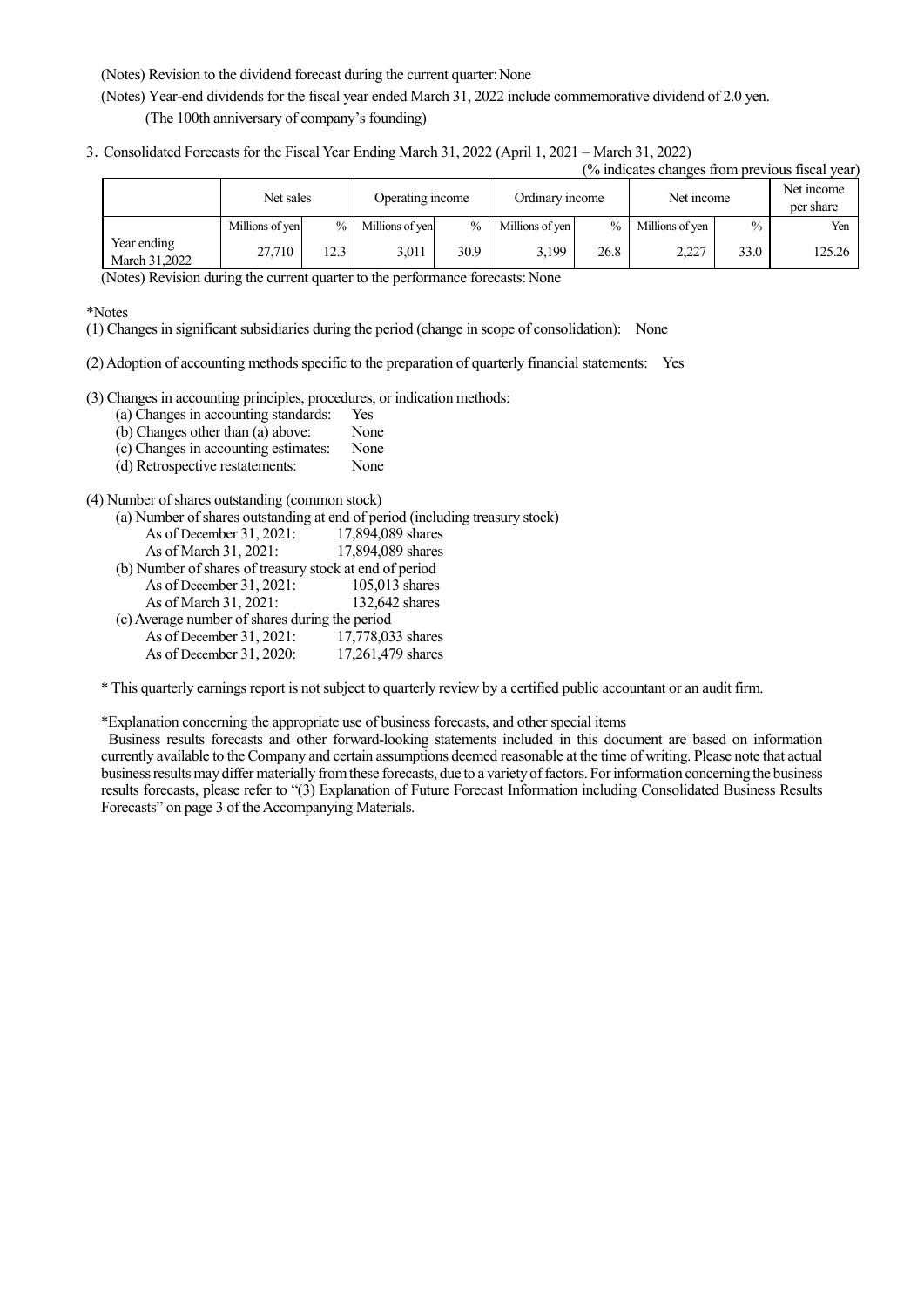(Notes) Revision to the dividend forecast during the current quarter: None

(Notes) Year-end dividends for the fiscal year ended March 31, 2022 include commemorative dividend of 2.0 yen. (The 100th anniversary of company's founding)

3.Consolidated Forecasts for the Fiscal Year Ending March 31, 2022 (April 1, 2021 – March 31, 2022)

|  |  |  | (% indicates changes from previous fiscal year) |  |  |  |
|--|--|--|-------------------------------------------------|--|--|--|
|  |  |  |                                                 |  |  |  |
|  |  |  |                                                 |  |  |  |

|                              |                 | Net sales     |                 | Operating income |                 | Ordinary income |                 | Net income    |        |
|------------------------------|-----------------|---------------|-----------------|------------------|-----------------|-----------------|-----------------|---------------|--------|
|                              | Millions of yen | $\frac{0}{0}$ | Millions of yen | $\frac{0}{0}$    | Millions of yen | $\frac{0}{0}$   | Millions of yen | $\frac{0}{0}$ | Yen    |
| Year ending<br>March 31.2022 | 27.710          | 12.3          | 3.011           | 30.9             | 3.199           | 26.8            | 2,227           | 33.0          | 125.26 |

(Notes) Revision during the current quarter to the performance forecasts: None

\*Notes

(1) Changes in significant subsidiaries during the period (change in scope of consolidation): None

(2) Adoption of accounting methods specific to the preparation of quarterly financial statements: Yes

(3) Changes in accounting principles, procedures, or indication methods:

(a) Changes in accounting standards: Yes

- (b) Changes other than  $(a)$  above: None<br>
(c) Changes in accounting estimates: None
- (c) Changes in accounting estimates: None
- (d) Retrospective restatements:

## (4) Number of shares outstanding (common stock)

|                                                         | (a) Number of shares outstanding at end of period (including treasury stock) |
|---------------------------------------------------------|------------------------------------------------------------------------------|
| As of December 31, 2021:                                | 17,894,089 shares                                                            |
| As of March 31, 2021:                                   | 17,894,089 shares                                                            |
| (b) Number of shares of treasury stock at end of period |                                                                              |
| As of December $31, 2021$ :                             | $105,013$ shares                                                             |
| As of March 31, 2021:                                   | 132,642 shares                                                               |
| (c) Average number of shares during the period          |                                                                              |
| As of December $31, 2021$ :                             | 17,778,033 shares                                                            |
| As of December 31, 2020:                                | 17,261,479 shares                                                            |
|                                                         |                                                                              |

\* This quarterly earnings report is not subject to quarterly review by a certified public accountant or an audit firm.

\*Explanation concerning the appropriate use of business forecasts, and other special items

Business results forecasts and other forward-looking statements included in this document are based on information currently available to the Company and certain assumptions deemed reasonable at the time of writing. Please note that actual business results may differ materially from these forecasts, due to a variety of factors. For information concerning the business results forecasts, please refer to "(3) Explanation of Future Forecast Information including Consolidated Business Results Forecasts" on page 3 of the Accompanying Materials.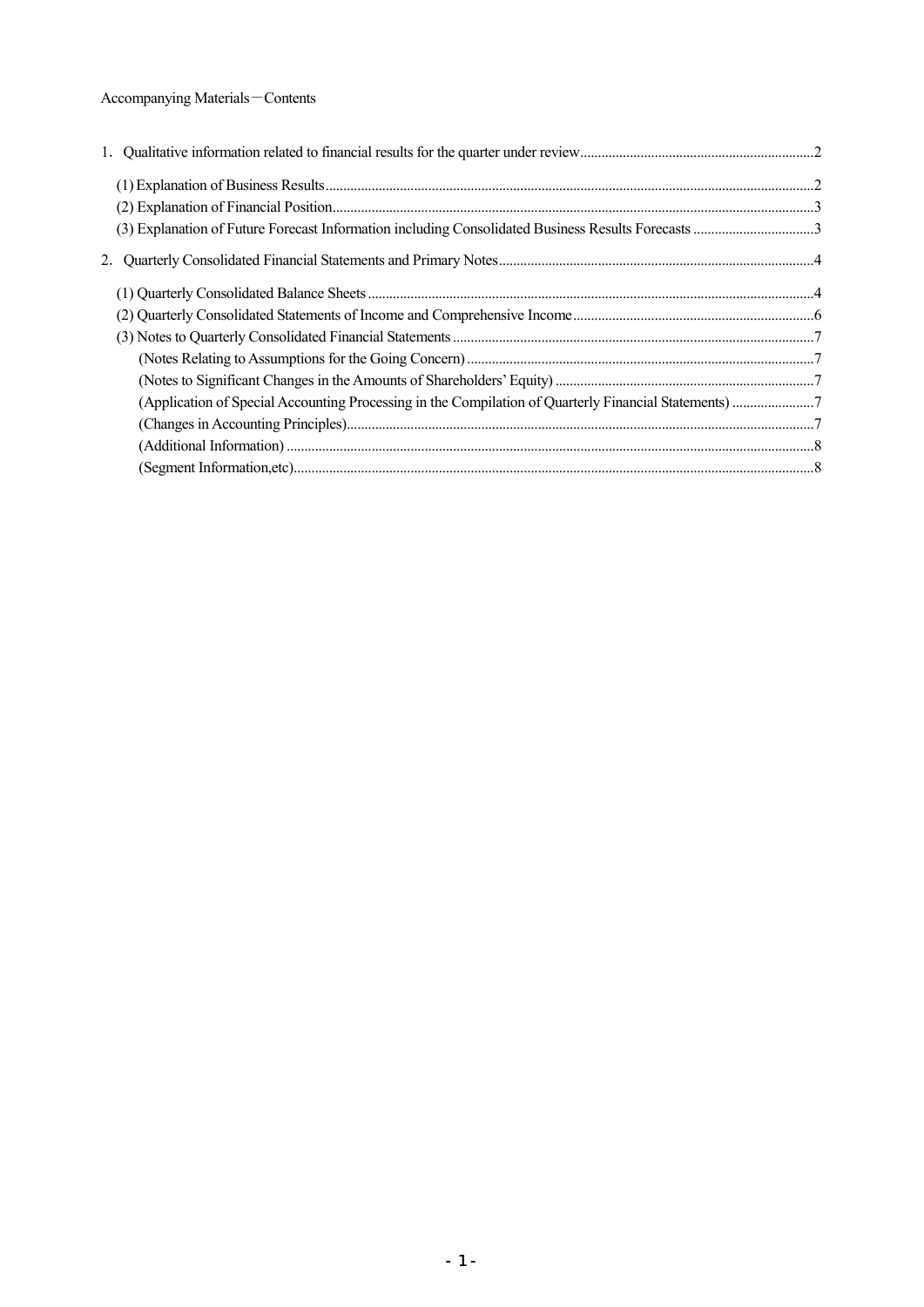# Accompanying Materials-Contents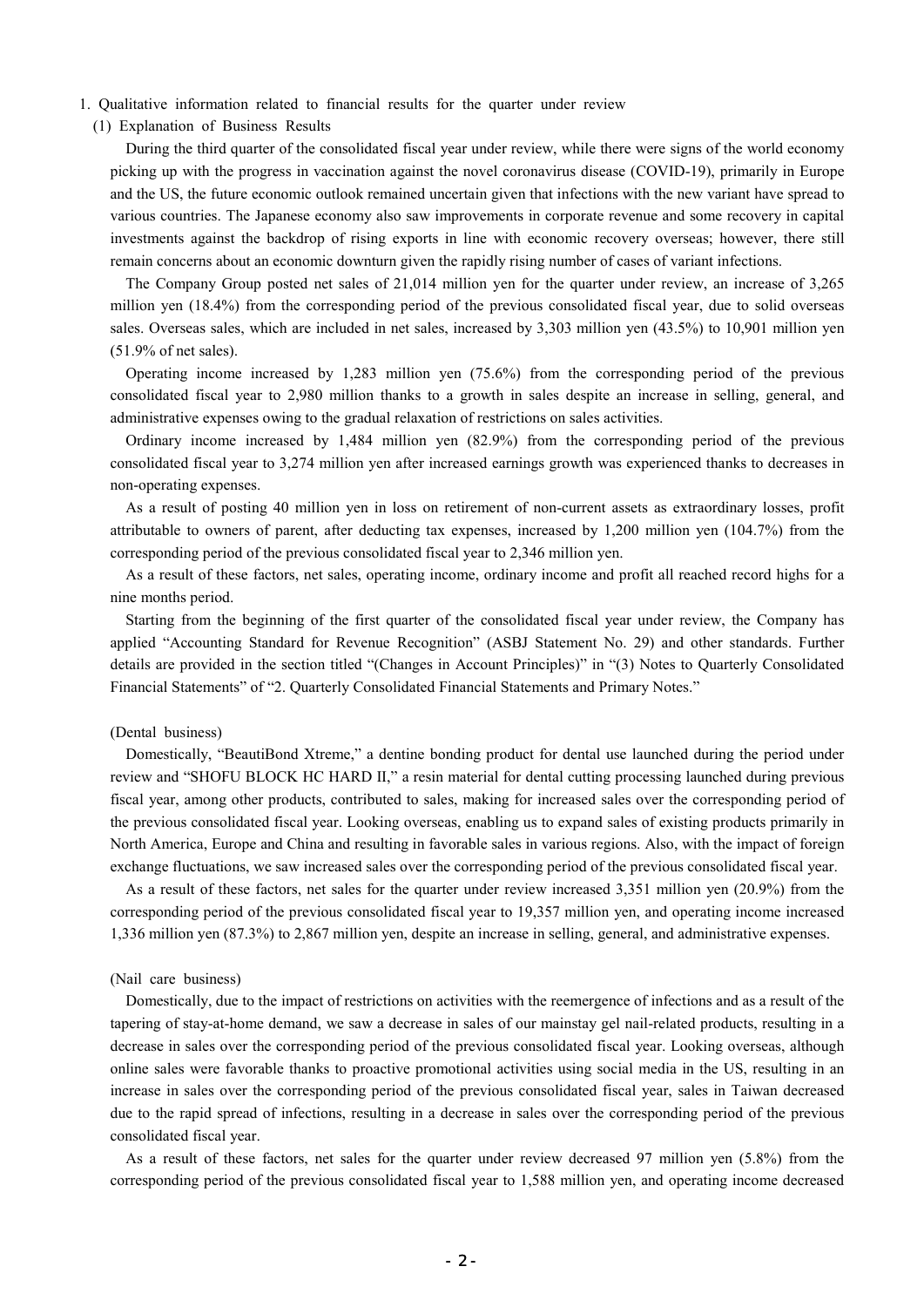- 1. Qualitative information related to financial results for the quarter under review
	- (1) Explanation of Business Results

During the third quarter of the consolidated fiscal year under review, while there were signs of the world economy picking up with the progress in vaccination against the novel coronavirus disease (COVID-19), primarily in Europe and the US, the future economic outlook remained uncertain given that infections with the new variant have spread to various countries. The Japanese economy also saw improvements in corporate revenue and some recovery in capital investments against the backdrop of rising exports in line with economic recovery overseas; however, there still remain concerns about an economic downturn given the rapidly rising number of cases of variant infections.

The Company Group posted net sales of 21,014 million yen for the quarter under review, an increase of 3,265 million yen (18.4%) from the corresponding period of the previous consolidated fiscal year, due to solid overseas sales. Overseas sales, which are included in net sales, increased by 3,303 million yen (43.5%) to 10,901 million yen (51.9% of net sales).

Operating income increased by 1,283 million yen (75.6%) from the corresponding period of the previous consolidated fiscal year to 2,980 million thanks to a growth in sales despite an increase in selling, general, and administrative expenses owing to the gradual relaxation of restrictions on sales activities.

Ordinary income increased by 1,484 million yen (82.9%) from the corresponding period of the previous consolidated fiscal year to 3,274 million yen after increased earnings growth was experienced thanks to decreases in non-operating expenses.

As a result of posting 40 million yen in loss on retirement of non-current assets as extraordinary losses, profit attributable to owners of parent, after deducting tax expenses, increased by 1,200 million yen (104.7%) from the corresponding period of the previous consolidated fiscal year to 2,346 million yen.

As a result of these factors, net sales, operating income, ordinary income and profit all reached record highs for a nine months period.

Starting from the beginning of the first quarter of the consolidated fiscal year under review, the Company has applied "Accounting Standard for Revenue Recognition" (ASBJ Statement No. 29) and other standards. Further details are provided in the section titled "(Changes in Account Principles)" in "(3) Notes to Quarterly Consolidated Financial Statements" of "2. Quarterly Consolidated Financial Statements and Primary Notes."

## (Dental business)

Domestically, "BeautiBond Xtreme," a dentine bonding product for dental use launched during the period under review and "SHOFU BLOCK HC HARD Ⅱ," a resin material for dental cutting processing launched during previous fiscal year, among other products, contributed to sales, making for increased sales over the corresponding period of the previous consolidated fiscal year. Looking overseas, enabling us to expand sales of existing products primarily in North America, Europe and China and resulting in favorable sales in various regions. Also, with the impact of foreign exchange fluctuations, we saw increased sales over the corresponding period of the previous consolidated fiscal year.

As a result of these factors, net sales for the quarter under review increased 3,351 million yen (20.9%) from the corresponding period of the previous consolidated fiscal year to 19,357 million yen, and operating income increased 1,336 million yen (87.3%) to 2,867 million yen, despite an increase in selling, general, and administrative expenses.

#### (Nail care business)

Domestically, due to the impact of restrictions on activities with the reemergence of infections and as a result of the tapering of stay-at-home demand, we saw a decrease in sales of our mainstay gel nail-related products, resulting in a decrease in sales over the corresponding period of the previous consolidated fiscal year. Looking overseas, although online sales were favorable thanks to proactive promotional activities using social media in the US, resulting in an increase in sales over the corresponding period of the previous consolidated fiscal year, sales in Taiwan decreased due to the rapid spread of infections, resulting in a decrease in sales over the corresponding period of the previous consolidated fiscal year.

As a result of these factors, net sales for the quarter under review decreased 97 million yen (5.8%) from the corresponding period of the previous consolidated fiscal year to 1,588 million yen, and operating income decreased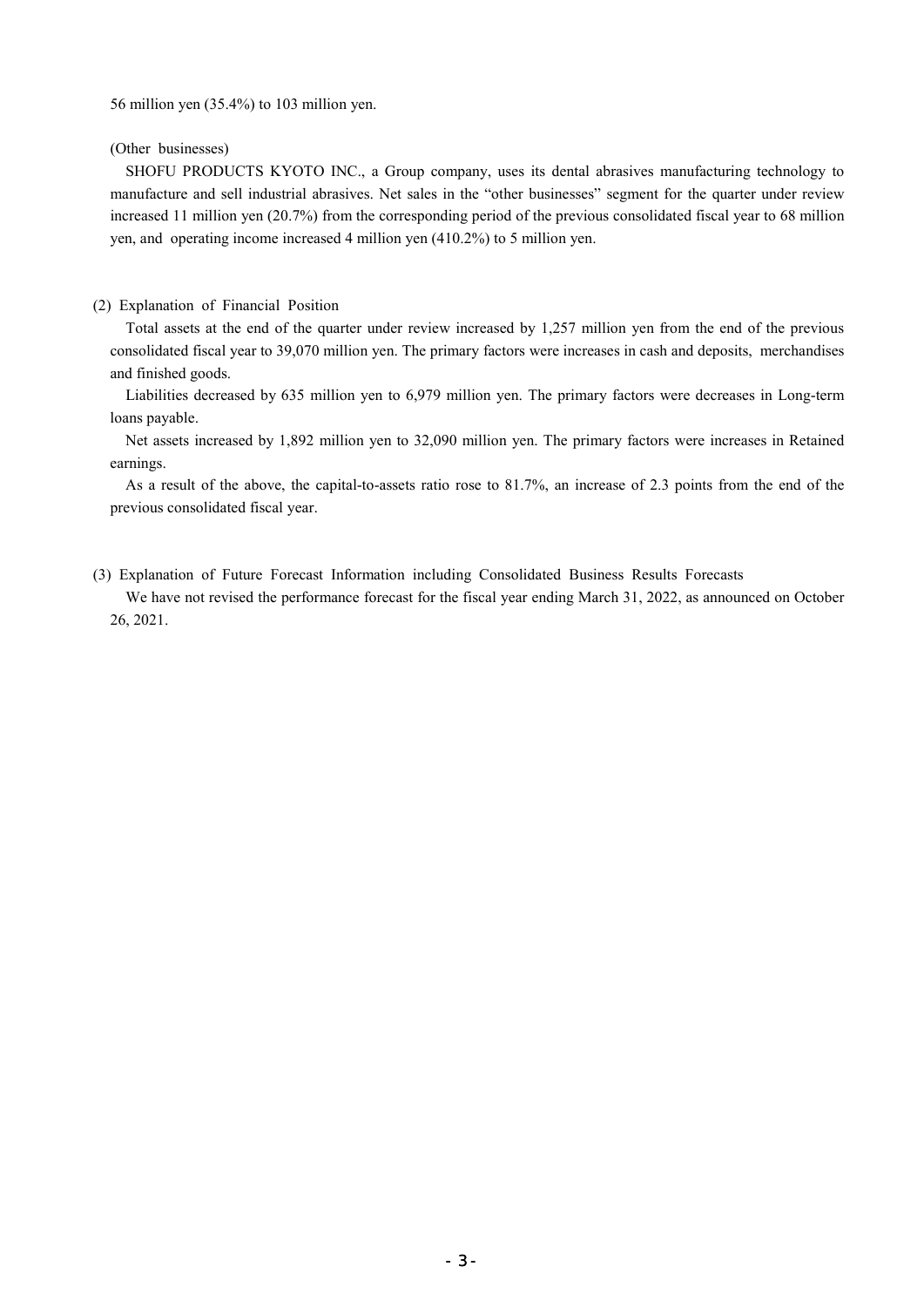56 million yen (35.4%) to 103 million yen.

(Other businesses)

SHOFU PRODUCTS KYOTO INC., a Group company, uses its dental abrasives manufacturing technology to manufacture and sell industrial abrasives. Net sales in the "other businesses" segment for the quarter under review increased 11 million yen (20.7%) from the corresponding period of the previous consolidated fiscal year to 68 million yen, and operating income increased 4 million yen (410.2%) to 5 million yen.

## (2) Explanation of Financial Position

Total assets at the end of the quarter under review increased by 1,257 million yen from the end of the previous consolidated fiscal year to 39,070 million yen. The primary factors were increases in cash and deposits, merchandises and finished goods.

Liabilities decreased by 635 million yen to 6,979 million yen. The primary factors were decreases in Long-term loans payable.

Net assets increased by 1,892 million yen to 32,090 million yen. The primary factors were increases in Retained earnings.

As a result of the above, the capital-to-assets ratio rose to 81.7%, an increase of 2.3 points from the end of the previous consolidated fiscal year.

(3) Explanation of Future Forecast Information including Consolidated Business Results Forecasts

We have not revised the performance forecast for the fiscal year ending March 31, 2022, as announced on October 26, 2021.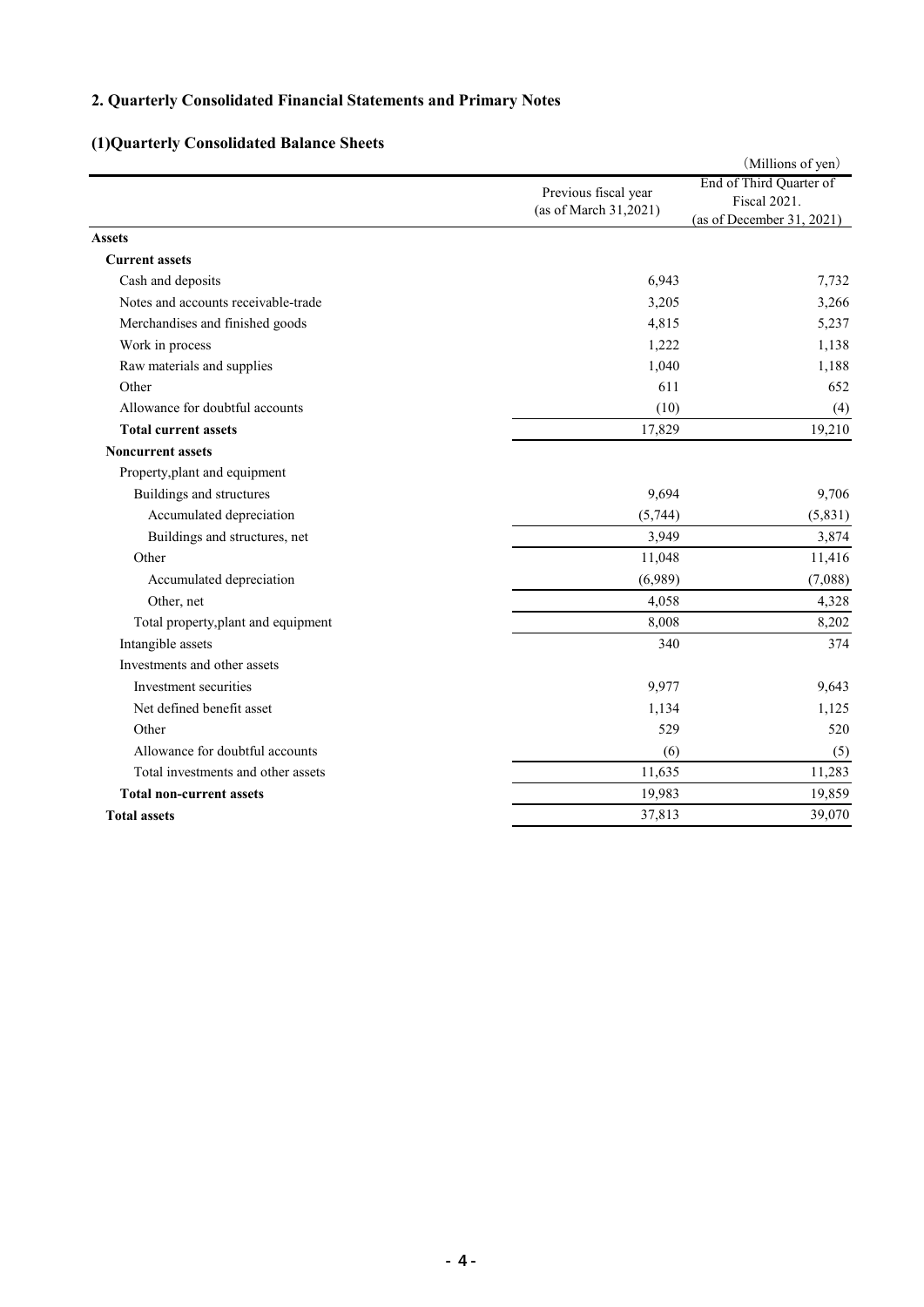# **2. Quarterly Consolidated Financial Statements and Primary Notes**

# **(1)Quarterly Consolidated Balance Sheets**

|                                     |                       | (Millions of yen)         |
|-------------------------------------|-----------------------|---------------------------|
|                                     | Previous fiscal year  | End of Third Quarter of   |
|                                     | (as of March 31,2021) | <b>Fiscal 2021.</b>       |
|                                     |                       | (as of December 31, 2021) |
| <b>Assets</b>                       |                       |                           |
| <b>Current assets</b>               |                       |                           |
| Cash and deposits                   | 6,943                 | 7,732                     |
| Notes and accounts receivable-trade | 3,205                 | 3,266                     |
| Merchandises and finished goods     | 4,815                 | 5,237                     |
| Work in process                     | 1,222                 | 1,138                     |
| Raw materials and supplies          | 1,040                 | 1,188                     |
| Other                               | 611                   | 652                       |
| Allowance for doubtful accounts     | (10)                  | (4)                       |
| <b>Total current assets</b>         | 17,829                | 19,210                    |
| <b>Noncurrent assets</b>            |                       |                           |
| Property, plant and equipment       |                       |                           |
| Buildings and structures            | 9,694                 | 9,706                     |
| Accumulated depreciation            | (5,744)               | (5,831)                   |
| Buildings and structures, net       | 3,949                 | 3,874                     |
| Other                               | 11,048                | 11,416                    |
| Accumulated depreciation            | (6,989)               | (7,088)                   |
| Other, net                          | 4,058                 | 4,328                     |
| Total property, plant and equipment | 8,008                 | 8,202                     |
| Intangible assets                   | 340                   | 374                       |
| Investments and other assets        |                       |                           |
| Investment securities               | 9,977                 | 9,643                     |
| Net defined benefit asset           | 1,134                 | 1,125                     |
| Other                               | 529                   | 520                       |
| Allowance for doubtful accounts     | (6)                   | (5)                       |
| Total investments and other assets  | 11,635                | 11,283                    |
| <b>Total non-current assets</b>     | 19,983                | 19,859                    |
| <b>Total assets</b>                 | 37,813                | 39,070                    |
|                                     |                       |                           |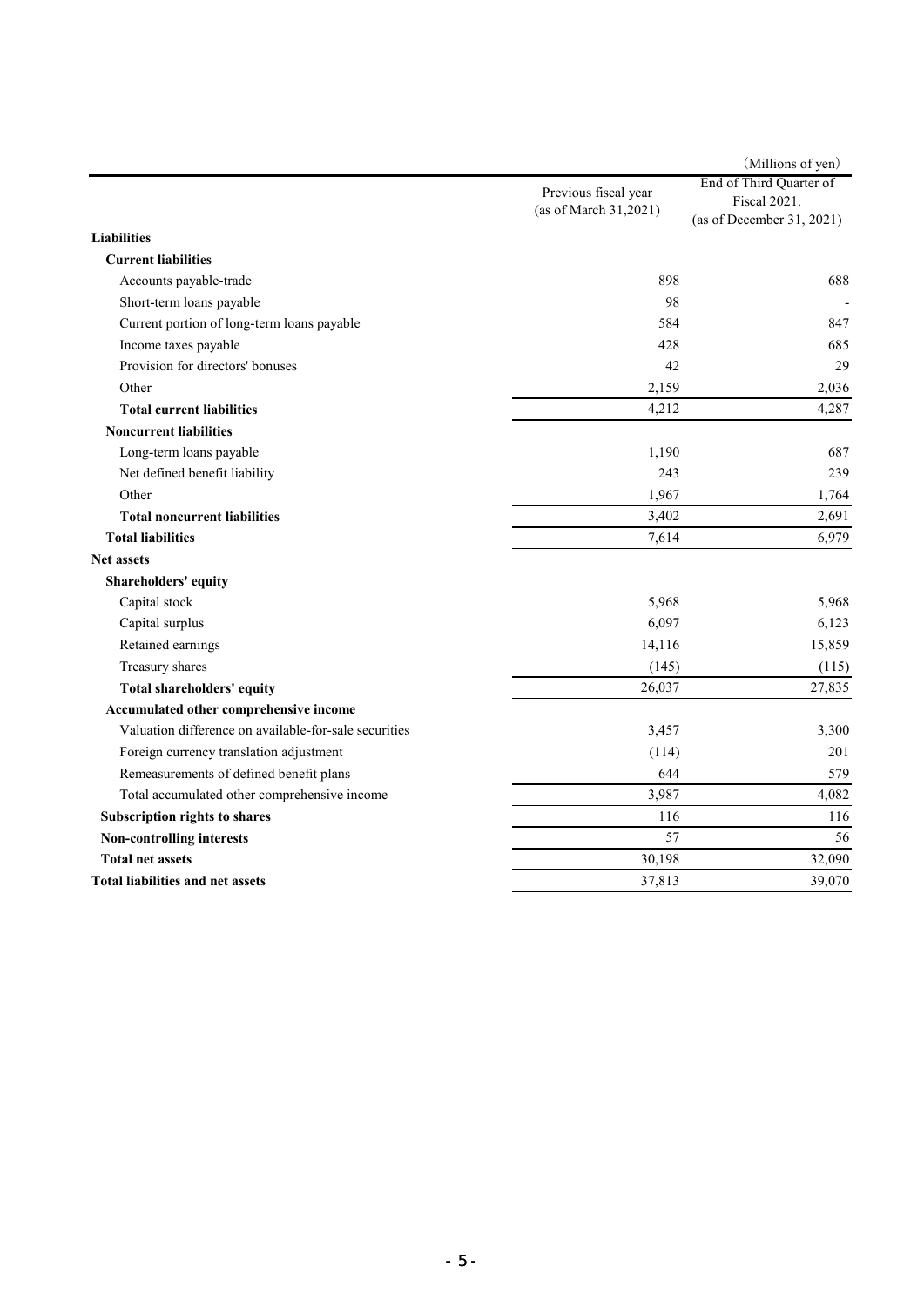| Previous fiscal year<br><b>Fiscal 2021.</b><br>(as of March 31,2021)<br>(as of December 31, 2021)<br>Liabilities<br><b>Current liabilities</b><br>Accounts payable-trade<br>898<br>688<br>Short-term loans payable<br>98<br>Current portion of long-term loans payable<br>584<br>Income taxes payable<br>428<br>Provision for directors' bonuses<br>42<br>Other<br>2,159<br>4,212<br><b>Total current liabilities</b><br><b>Noncurrent liabilities</b><br>1,190<br>Long-term loans payable<br>Net defined benefit liability<br>243<br>Other<br>1,967<br>3,402<br><b>Total noncurrent liabilities</b><br><b>Total liabilities</b><br>7,614<br><b>Net assets</b><br>Shareholders' equity<br>Capital stock<br>5,968<br>6,097<br>Capital surplus<br>Retained earnings<br>14,116<br>Treasury shares<br>(145)<br>26,037<br>Total shareholders' equity<br>Accumulated other comprehensive income<br>Valuation difference on available-for-sale securities<br>3,457<br>Foreign currency translation adjustment<br>(114)<br>201<br>Remeasurements of defined benefit plans<br>644<br>3,987<br>Total accumulated other comprehensive income<br>116<br><b>Subscription rights to shares</b><br>57<br><b>Non-controlling interests</b><br>30,198<br><b>Total net assets</b><br><b>Total liabilities and net assets</b><br>37,813 |  | (Millions of yen)       |  |
|----------------------------------------------------------------------------------------------------------------------------------------------------------------------------------------------------------------------------------------------------------------------------------------------------------------------------------------------------------------------------------------------------------------------------------------------------------------------------------------------------------------------------------------------------------------------------------------------------------------------------------------------------------------------------------------------------------------------------------------------------------------------------------------------------------------------------------------------------------------------------------------------------------------------------------------------------------------------------------------------------------------------------------------------------------------------------------------------------------------------------------------------------------------------------------------------------------------------------------------------------------------------------------------------------------------------|--|-------------------------|--|
|                                                                                                                                                                                                                                                                                                                                                                                                                                                                                                                                                                                                                                                                                                                                                                                                                                                                                                                                                                                                                                                                                                                                                                                                                                                                                                                      |  | End of Third Quarter of |  |
|                                                                                                                                                                                                                                                                                                                                                                                                                                                                                                                                                                                                                                                                                                                                                                                                                                                                                                                                                                                                                                                                                                                                                                                                                                                                                                                      |  |                         |  |
|                                                                                                                                                                                                                                                                                                                                                                                                                                                                                                                                                                                                                                                                                                                                                                                                                                                                                                                                                                                                                                                                                                                                                                                                                                                                                                                      |  |                         |  |
|                                                                                                                                                                                                                                                                                                                                                                                                                                                                                                                                                                                                                                                                                                                                                                                                                                                                                                                                                                                                                                                                                                                                                                                                                                                                                                                      |  |                         |  |
|                                                                                                                                                                                                                                                                                                                                                                                                                                                                                                                                                                                                                                                                                                                                                                                                                                                                                                                                                                                                                                                                                                                                                                                                                                                                                                                      |  |                         |  |
|                                                                                                                                                                                                                                                                                                                                                                                                                                                                                                                                                                                                                                                                                                                                                                                                                                                                                                                                                                                                                                                                                                                                                                                                                                                                                                                      |  |                         |  |
|                                                                                                                                                                                                                                                                                                                                                                                                                                                                                                                                                                                                                                                                                                                                                                                                                                                                                                                                                                                                                                                                                                                                                                                                                                                                                                                      |  |                         |  |
|                                                                                                                                                                                                                                                                                                                                                                                                                                                                                                                                                                                                                                                                                                                                                                                                                                                                                                                                                                                                                                                                                                                                                                                                                                                                                                                      |  | 847                     |  |
|                                                                                                                                                                                                                                                                                                                                                                                                                                                                                                                                                                                                                                                                                                                                                                                                                                                                                                                                                                                                                                                                                                                                                                                                                                                                                                                      |  | 685                     |  |
|                                                                                                                                                                                                                                                                                                                                                                                                                                                                                                                                                                                                                                                                                                                                                                                                                                                                                                                                                                                                                                                                                                                                                                                                                                                                                                                      |  | 29                      |  |
|                                                                                                                                                                                                                                                                                                                                                                                                                                                                                                                                                                                                                                                                                                                                                                                                                                                                                                                                                                                                                                                                                                                                                                                                                                                                                                                      |  | 2,036                   |  |
|                                                                                                                                                                                                                                                                                                                                                                                                                                                                                                                                                                                                                                                                                                                                                                                                                                                                                                                                                                                                                                                                                                                                                                                                                                                                                                                      |  | 4,287                   |  |
|                                                                                                                                                                                                                                                                                                                                                                                                                                                                                                                                                                                                                                                                                                                                                                                                                                                                                                                                                                                                                                                                                                                                                                                                                                                                                                                      |  |                         |  |
|                                                                                                                                                                                                                                                                                                                                                                                                                                                                                                                                                                                                                                                                                                                                                                                                                                                                                                                                                                                                                                                                                                                                                                                                                                                                                                                      |  | 687                     |  |
|                                                                                                                                                                                                                                                                                                                                                                                                                                                                                                                                                                                                                                                                                                                                                                                                                                                                                                                                                                                                                                                                                                                                                                                                                                                                                                                      |  | 239                     |  |
|                                                                                                                                                                                                                                                                                                                                                                                                                                                                                                                                                                                                                                                                                                                                                                                                                                                                                                                                                                                                                                                                                                                                                                                                                                                                                                                      |  | 1,764                   |  |
|                                                                                                                                                                                                                                                                                                                                                                                                                                                                                                                                                                                                                                                                                                                                                                                                                                                                                                                                                                                                                                                                                                                                                                                                                                                                                                                      |  | 2,691                   |  |
|                                                                                                                                                                                                                                                                                                                                                                                                                                                                                                                                                                                                                                                                                                                                                                                                                                                                                                                                                                                                                                                                                                                                                                                                                                                                                                                      |  | 6,979                   |  |
|                                                                                                                                                                                                                                                                                                                                                                                                                                                                                                                                                                                                                                                                                                                                                                                                                                                                                                                                                                                                                                                                                                                                                                                                                                                                                                                      |  |                         |  |
|                                                                                                                                                                                                                                                                                                                                                                                                                                                                                                                                                                                                                                                                                                                                                                                                                                                                                                                                                                                                                                                                                                                                                                                                                                                                                                                      |  |                         |  |
|                                                                                                                                                                                                                                                                                                                                                                                                                                                                                                                                                                                                                                                                                                                                                                                                                                                                                                                                                                                                                                                                                                                                                                                                                                                                                                                      |  | 5,968                   |  |
|                                                                                                                                                                                                                                                                                                                                                                                                                                                                                                                                                                                                                                                                                                                                                                                                                                                                                                                                                                                                                                                                                                                                                                                                                                                                                                                      |  | 6,123                   |  |
|                                                                                                                                                                                                                                                                                                                                                                                                                                                                                                                                                                                                                                                                                                                                                                                                                                                                                                                                                                                                                                                                                                                                                                                                                                                                                                                      |  | 15,859                  |  |
|                                                                                                                                                                                                                                                                                                                                                                                                                                                                                                                                                                                                                                                                                                                                                                                                                                                                                                                                                                                                                                                                                                                                                                                                                                                                                                                      |  | (115)                   |  |
|                                                                                                                                                                                                                                                                                                                                                                                                                                                                                                                                                                                                                                                                                                                                                                                                                                                                                                                                                                                                                                                                                                                                                                                                                                                                                                                      |  | 27,835                  |  |
|                                                                                                                                                                                                                                                                                                                                                                                                                                                                                                                                                                                                                                                                                                                                                                                                                                                                                                                                                                                                                                                                                                                                                                                                                                                                                                                      |  |                         |  |
|                                                                                                                                                                                                                                                                                                                                                                                                                                                                                                                                                                                                                                                                                                                                                                                                                                                                                                                                                                                                                                                                                                                                                                                                                                                                                                                      |  | 3,300                   |  |
|                                                                                                                                                                                                                                                                                                                                                                                                                                                                                                                                                                                                                                                                                                                                                                                                                                                                                                                                                                                                                                                                                                                                                                                                                                                                                                                      |  |                         |  |
|                                                                                                                                                                                                                                                                                                                                                                                                                                                                                                                                                                                                                                                                                                                                                                                                                                                                                                                                                                                                                                                                                                                                                                                                                                                                                                                      |  | 579                     |  |
|                                                                                                                                                                                                                                                                                                                                                                                                                                                                                                                                                                                                                                                                                                                                                                                                                                                                                                                                                                                                                                                                                                                                                                                                                                                                                                                      |  | 4,082                   |  |
|                                                                                                                                                                                                                                                                                                                                                                                                                                                                                                                                                                                                                                                                                                                                                                                                                                                                                                                                                                                                                                                                                                                                                                                                                                                                                                                      |  | 116                     |  |
|                                                                                                                                                                                                                                                                                                                                                                                                                                                                                                                                                                                                                                                                                                                                                                                                                                                                                                                                                                                                                                                                                                                                                                                                                                                                                                                      |  | 56                      |  |
|                                                                                                                                                                                                                                                                                                                                                                                                                                                                                                                                                                                                                                                                                                                                                                                                                                                                                                                                                                                                                                                                                                                                                                                                                                                                                                                      |  | 32,090                  |  |
|                                                                                                                                                                                                                                                                                                                                                                                                                                                                                                                                                                                                                                                                                                                                                                                                                                                                                                                                                                                                                                                                                                                                                                                                                                                                                                                      |  | 39,070                  |  |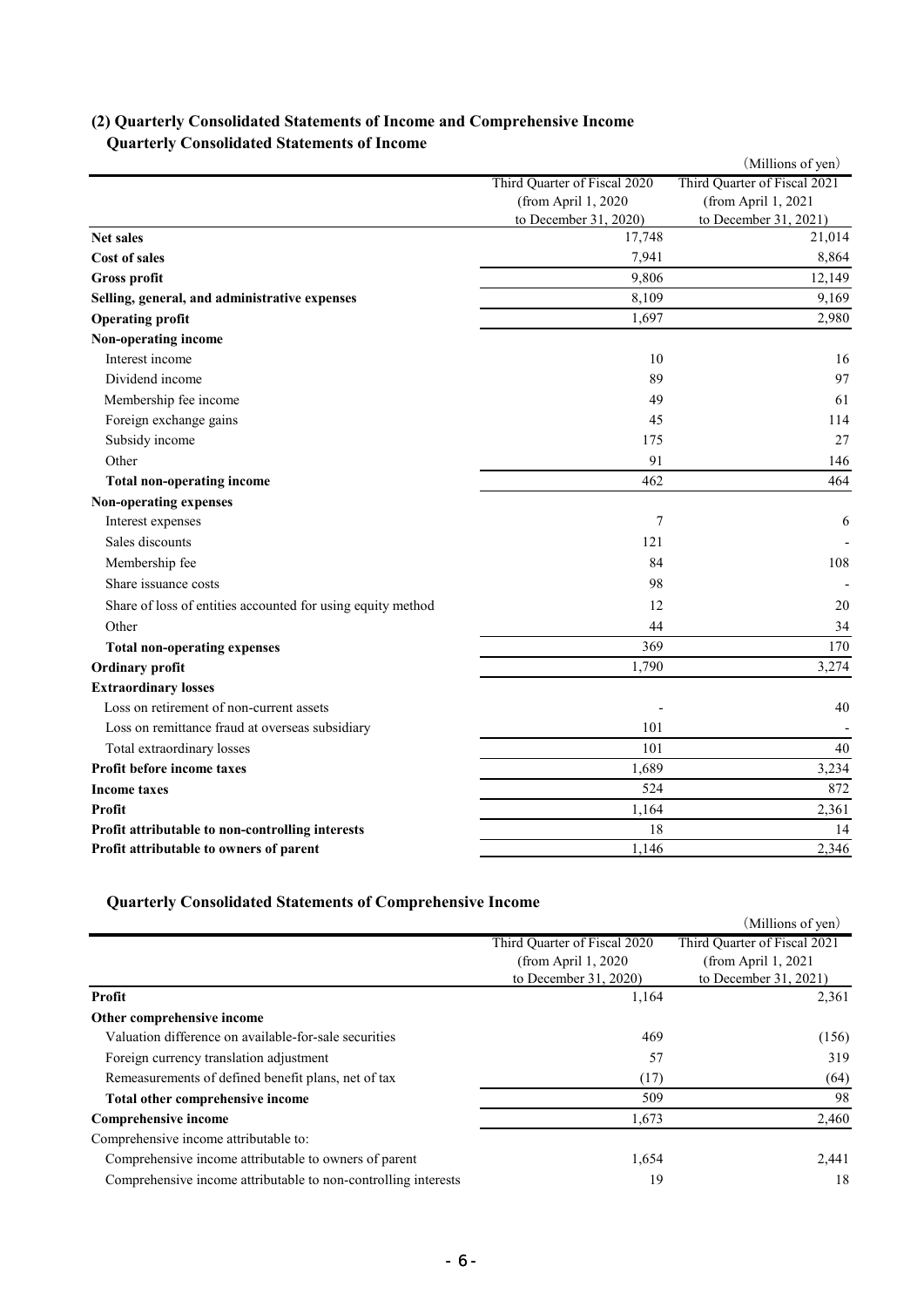|                                                             |                                                     | (Millions of yen)                                   |
|-------------------------------------------------------------|-----------------------------------------------------|-----------------------------------------------------|
|                                                             | Third Quarter of Fiscal 2020<br>(from April 1, 2020 | Third Quarter of Fiscal 2021<br>(from April 1, 2021 |
|                                                             | to December 31, 2020)                               | to December 31, 2021)                               |
| <b>Net sales</b>                                            | 17,748                                              | 21,014                                              |
| <b>Cost of sales</b>                                        | 7,941                                               | 8,864                                               |
| <b>Gross profit</b>                                         | 9,806                                               | 12,149                                              |
| Selling, general, and administrative expenses               | 8,109                                               | 9,169                                               |
| <b>Operating profit</b>                                     | 1,697                                               | 2,980                                               |
| Non-operating income                                        |                                                     |                                                     |
| Interest income                                             | 10                                                  | 16                                                  |
| Dividend income                                             | 89                                                  | 97                                                  |
| Membership fee income                                       | 49                                                  | 61                                                  |
| Foreign exchange gains                                      | 45                                                  | 114                                                 |
| Subsidy income                                              | 175                                                 | 27                                                  |
| Other                                                       | 91                                                  | 146                                                 |
| <b>Total non-operating income</b>                           | 462                                                 | 464                                                 |
| Non-operating expenses                                      |                                                     |                                                     |
| Interest expenses                                           | 7                                                   | 6                                                   |
| Sales discounts                                             | 121                                                 |                                                     |
| Membership fee                                              | 84                                                  | 108                                                 |
| Share issuance costs                                        | 98                                                  |                                                     |
| Share of loss of entities accounted for using equity method | 12                                                  | 20                                                  |
| Other                                                       | 44                                                  | 34                                                  |
| <b>Total non-operating expenses</b>                         | 369                                                 | 170                                                 |
| Ordinary profit                                             | 1,790                                               | 3,274                                               |
| <b>Extraordinary losses</b>                                 |                                                     |                                                     |
| Loss on retirement of non-current assets                    |                                                     | 40                                                  |
| Loss on remittance fraud at overseas subsidiary             | 101                                                 |                                                     |
| Total extraordinary losses                                  | 101                                                 | 40                                                  |
| Profit before income taxes                                  | 1,689                                               | 3,234                                               |
| <b>Income taxes</b>                                         | 524                                                 | 872                                                 |
| Profit                                                      | 1,164                                               | 2,361                                               |
| Profit attributable to non-controlling interests            | 18                                                  | 14                                                  |
| Profit attributable to owners of parent                     | 1,146                                               | 2,346                                               |

# **(2) Quarterly Consolidated Statements of Income and Comprehensive Income Quarterly Consolidated Statements of Income**

# **Quarterly Consolidated Statements of Comprehensive Income**

| y was very componented benefitence or comprehense encom        |                              |                              |
|----------------------------------------------------------------|------------------------------|------------------------------|
|                                                                |                              | (Millions of yen)            |
|                                                                | Third Quarter of Fiscal 2020 | Third Quarter of Fiscal 2021 |
|                                                                | (from April $1,2020$         | (from April 1, 2021          |
|                                                                | to December 31, 2020)        | to December 31, 2021)        |
| Profit                                                         | 1,164                        |                              |
| Other comprehensive income                                     |                              |                              |
| Valuation difference on available-for-sale securities          | 469                          | (156)                        |
| Foreign currency translation adjustment                        | 57                           | 319                          |
| Remeasurements of defined benefit plans, net of tax            | (17)                         | (64)                         |
| Total other comprehensive income                               | 509                          | 98                           |
| Comprehensive income                                           | 1,673                        | 2,460                        |
| Comprehensive income attributable to:                          |                              |                              |
| Comprehensive income attributable to owners of parent          | 1,654                        | 2,441                        |
| Comprehensive income attributable to non-controlling interests | 19                           | 18                           |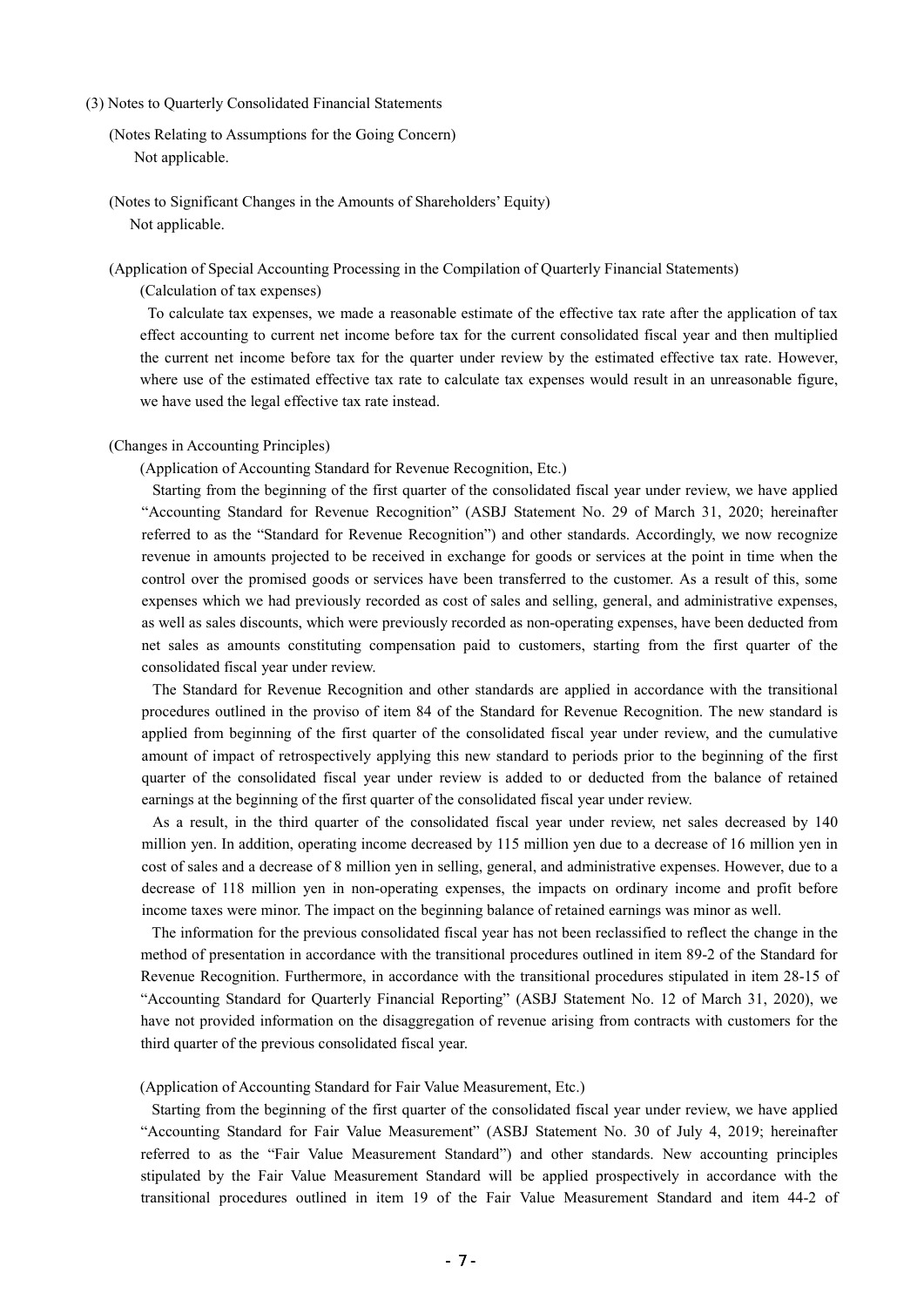#### (3) Notes to Quarterly Consolidated Financial Statements

```
(Notes Relating to Assumptions for the Going Concern)
   Not applicable.
```
(Notes to Significant Changes in the Amounts of Shareholders' Equity) Not applicable.

(Application of Special Accounting Processing in the Compilation of Quarterly Financial Statements)

(Calculation of tax expenses)

To calculate tax expenses, we made a reasonable estimate of the effective tax rate after the application of tax effect accounting to current net income before tax for the current consolidated fiscal year and then multiplied the current net income before tax for the quarter under review by the estimated effective tax rate. However, where use of the estimated effective tax rate to calculate tax expenses would result in an unreasonable figure, we have used the legal effective tax rate instead.

#### (Changes in Accounting Principles)

(Application of Accounting Standard for Revenue Recognition, Etc.)

Starting from the beginning of the first quarter of the consolidated fiscal year under review, we have applied "Accounting Standard for Revenue Recognition" (ASBJ Statement No. 29 of March 31, 2020; hereinafter referred to as the "Standard for Revenue Recognition") and other standards. Accordingly, we now recognize revenue in amounts projected to be received in exchange for goods or services at the point in time when the control over the promised goods or services have been transferred to the customer. As a result of this, some expenses which we had previously recorded as cost of sales and selling, general, and administrative expenses, as well as sales discounts, which were previously recorded as non-operating expenses, have been deducted from net sales as amounts constituting compensation paid to customers, starting from the first quarter of the consolidated fiscal year under review.

The Standard for Revenue Recognition and other standards are applied in accordance with the transitional procedures outlined in the proviso of item 84 of the Standard for Revenue Recognition. The new standard is applied from beginning of the first quarter of the consolidated fiscal year under review, and the cumulative amount of impact of retrospectively applying this new standard to periods prior to the beginning of the first quarter of the consolidated fiscal year under review is added to or deducted from the balance of retained earnings at the beginning of the first quarter of the consolidated fiscal year under review.

As a result, in the third quarter of the consolidated fiscal year under review, net sales decreased by 140 million yen. In addition, operating income decreased by 115 million yen due to a decrease of 16 million yen in cost of sales and a decrease of 8 million yen in selling, general, and administrative expenses. However, due to a decrease of 118 million yen in non-operating expenses, the impacts on ordinary income and profit before income taxes were minor. The impact on the beginning balance of retained earnings was minor as well.

The information for the previous consolidated fiscal year has not been reclassified to reflect the change in the method of presentation in accordance with the transitional procedures outlined in item 89-2 of the Standard for Revenue Recognition. Furthermore, in accordance with the transitional procedures stipulated in item 28-15 of "Accounting Standard for Quarterly Financial Reporting" (ASBJ Statement No. 12 of March 31, 2020), we have not provided information on the disaggregation of revenue arising from contracts with customers for the third quarter of the previous consolidated fiscal year.

#### (Application of Accounting Standard for Fair Value Measurement, Etc.)

Starting from the beginning of the first quarter of the consolidated fiscal year under review, we have applied "Accounting Standard for Fair Value Measurement" (ASBJ Statement No. 30 of July 4, 2019; hereinafter referred to as the "Fair Value Measurement Standard") and other standards. New accounting principles stipulated by the Fair Value Measurement Standard will be applied prospectively in accordance with the transitional procedures outlined in item 19 of the Fair Value Measurement Standard and item 44-2 of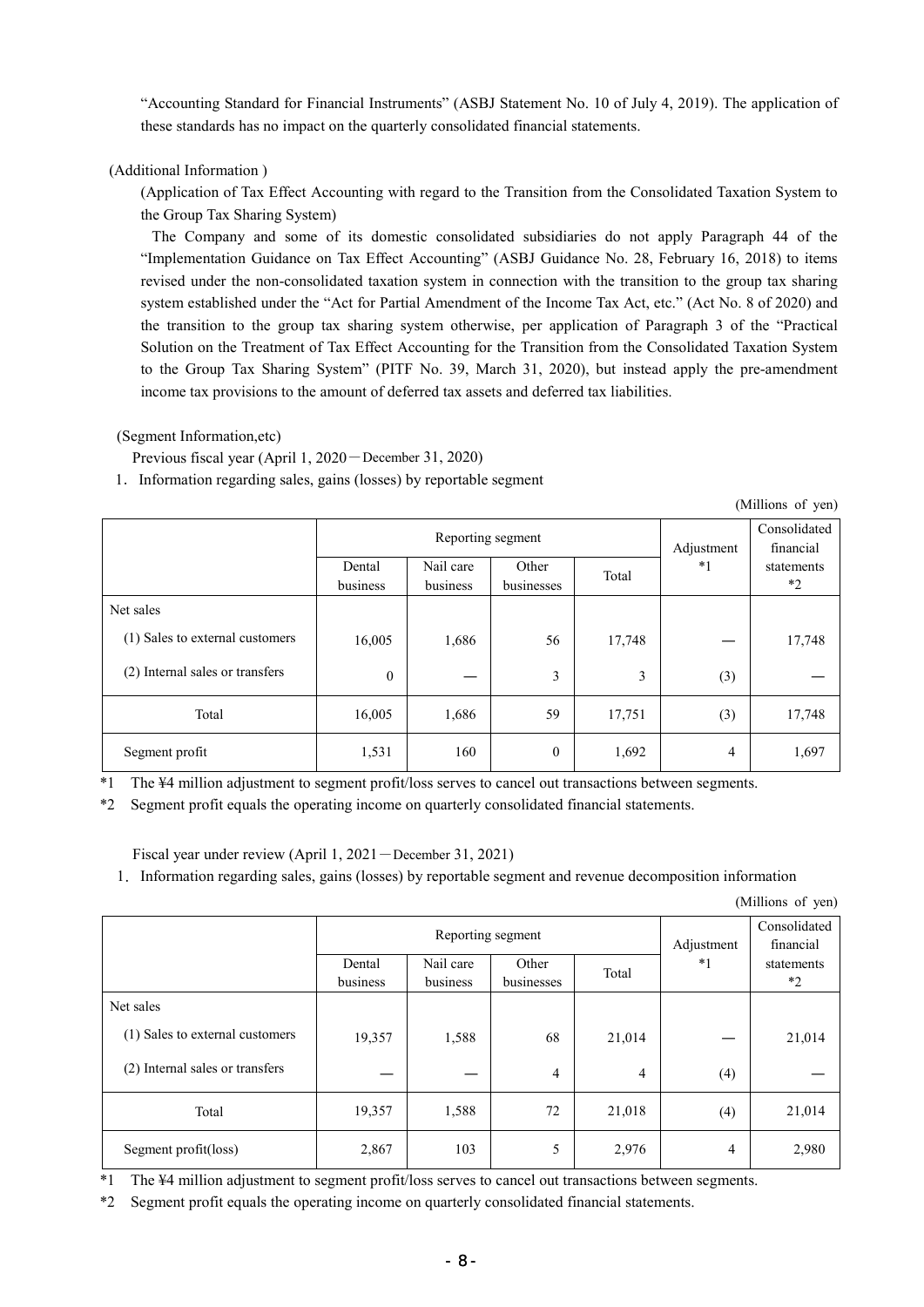"Accounting Standard for Financial Instruments" (ASBJ Statement No. 10 of July 4, 2019). The application of these standards has no impact on the quarterly consolidated financial statements.

## (Additional Information )

(Application of Tax Effect Accounting with regard to the Transition from the Consolidated Taxation System to the Group Tax Sharing System)

The Company and some of its domestic consolidated subsidiaries do not apply Paragraph 44 of the "Implementation Guidance on Tax Effect Accounting" (ASBJ Guidance No. 28, February 16, 2018) to items revised under the non-consolidated taxation system in connection with the transition to the group tax sharing system established under the "Act for Partial Amendment of the Income Tax Act, etc." (Act No. 8 of 2020) and the transition to the group tax sharing system otherwise, per application of Paragraph 3 of the "Practical Solution on the Treatment of Tax Effect Accounting for the Transition from the Consolidated Taxation System to the Group Tax Sharing System" (PITF No. 39, March 31, 2020), but instead apply the pre-amendment income tax provisions to the amount of deferred tax assets and deferred tax liabilities.

(Segment Information,etc)

Previous fiscal year (April 1, 2020-December 31, 2020)

1.Information regarding sales, gains (losses) by reportable segment

(Millions of yen)

|                                 | Dental       | Reporting segment<br>Nail care | Other            | Total  | Adjustment<br>$*1$ | Consolidated<br>financial<br>statements |
|---------------------------------|--------------|--------------------------------|------------------|--------|--------------------|-----------------------------------------|
|                                 | business     | business                       | businesses       |        |                    | $*2$                                    |
| Net sales                       |              |                                |                  |        |                    |                                         |
| (1) Sales to external customers | 16,005       | 1,686                          | 56               | 17,748 |                    | 17,748                                  |
| (2) Internal sales or transfers | $\mathbf{0}$ |                                | 3                | 3      | (3)                |                                         |
| Total                           | 16,005       | 1,686                          | 59               | 17,751 | (3)                | 17,748                                  |
| Segment profit                  | 1,531        | 160                            | $\boldsymbol{0}$ | 1,692  | 4                  | 1,697                                   |

\*1 The ¥4 million adjustment to segment profit/loss serves to cancel out transactions between segments.

\*2 Segment profit equals the operating income on quarterly consolidated financial statements.

Fiscal year under review (April 1, 2021-December 31, 2021)

1.Information regarding sales, gains (losses) by reportable segment and revenue decomposition information

(Millions of yen)

|                                 | Dental<br>business | Reporting segment<br>Nail care<br>business | Other<br>businesses | Total          | Adjustment<br>$*1$ | Consolidated<br>financial<br>statements<br>$*2$ |  |
|---------------------------------|--------------------|--------------------------------------------|---------------------|----------------|--------------------|-------------------------------------------------|--|
| Net sales                       |                    |                                            |                     |                |                    |                                                 |  |
| (1) Sales to external customers | 19,357             | 1,588                                      | 68                  | 21,014         |                    | 21,014                                          |  |
| (2) Internal sales or transfers |                    |                                            | 4                   | $\overline{4}$ | (4)                |                                                 |  |
| Total                           | 19,357             | 1,588                                      | 72                  | 21,018         | (4)                | 21,014                                          |  |
| Segment profit(loss)            | 2,867              | 103                                        | 5                   | 2,976          | 4                  | 2,980                                           |  |

\*1 The ¥4 million adjustment to segment profit/loss serves to cancel out transactions between segments.

\*2 Segment profit equals the operating income on quarterly consolidated financial statements.